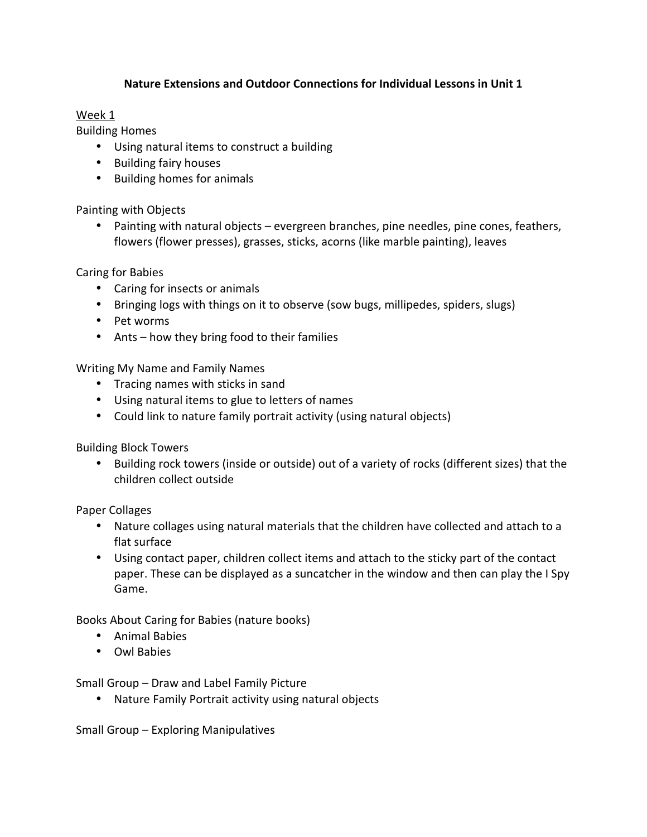## **Nature Extensions and Outdoor Connections for Individual Lessons in Unit 1**

# Week 1

Building Homes

- Using natural items to construct a building
- Building fairy houses
- Building homes for animals

Painting with Objects

• Painting with natural objects – evergreen branches, pine needles, pine cones, feathers, flowers (flower presses), grasses, sticks, acorns (like marble painting), leaves

Caring for Babies

- Caring for insects or animals
- Bringing logs with things on it to observe (sow bugs, millipedes, spiders, slugs)
- Pet worms
- Ants how they bring food to their families

Writing My Name and Family Names

- Tracing names with sticks in sand
- Using natural items to glue to letters of names
- Could link to nature family portrait activity (using natural objects)

Building Block Towers

• Building rock towers (inside or outside) out of a variety of rocks (different sizes) that the children collect outside

Paper Collages

- Nature collages using natural materials that the children have collected and attach to a flat surface
- Using contact paper, children collect items and attach to the sticky part of the contact paper. These can be displayed as a suncatcher in the window and then can play the I Spy Game.

Books About Caring for Babies (nature books)

- Animal Babies
- Owl Babies

Small Group – Draw and Label Family Picture

• Nature Family Portrait activity using natural objects

Small Group – Exploring Manipulatives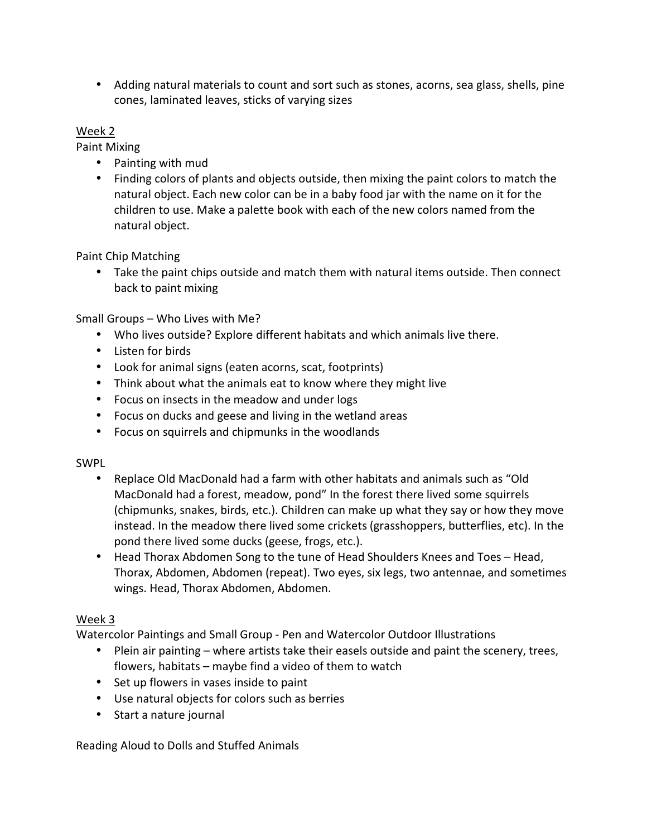• Adding natural materials to count and sort such as stones, acorns, sea glass, shells, pine cones, laminated leaves, sticks of varying sizes

#### Week 2

Paint Mixing

- Painting with mud
- Finding colors of plants and objects outside, then mixing the paint colors to match the natural object. Each new color can be in a baby food jar with the name on it for the children to use. Make a palette book with each of the new colors named from the natural object.

Paint Chip Matching

• Take the paint chips outside and match them with natural items outside. Then connect back to paint mixing

Small Groups – Who Lives with Me?

- Who lives outside? Explore different habitats and which animals live there.
- Listen for birds
- Look for animal signs (eaten acorns, scat, footprints)
- Think about what the animals eat to know where they might live
- Focus on insects in the meadow and under logs
- Focus on ducks and geese and living in the wetland areas
- Focus on squirrels and chipmunks in the woodlands

#### SWPL

- Replace Old MacDonald had a farm with other habitats and animals such as "Old MacDonald had a forest, meadow, pond" In the forest there lived some squirrels (chipmunks, snakes, birds, etc.). Children can make up what they say or how they move instead. In the meadow there lived some crickets (grasshoppers, butterflies, etc). In the pond there lived some ducks (geese, frogs, etc.).
- Head Thorax Abdomen Song to the tune of Head Shoulders Knees and Toes Head, Thorax, Abdomen, Abdomen (repeat). Two eyes, six legs, two antennae, and sometimes wings. Head, Thorax Abdomen, Abdomen.

## Week 3

Watercolor Paintings and Small Group - Pen and Watercolor Outdoor Illustrations

- Plein air painting where artists take their easels outside and paint the scenery, trees, flowers, habitats – maybe find a video of them to watch
- Set up flowers in vases inside to paint
- Use natural objects for colors such as berries
- Start a nature journal

Reading Aloud to Dolls and Stuffed Animals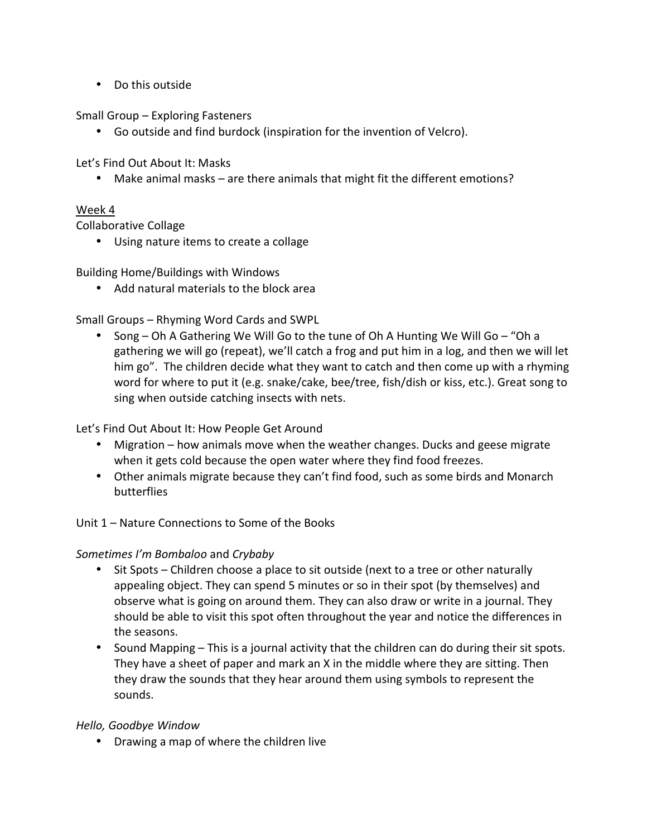• Do this outside

Small Group – Exploring Fasteners

• Go outside and find burdock (inspiration for the invention of Velcro).

Let's Find Out About It: Masks

• Make animal masks – are there animals that might fit the different emotions?

# Week 4

Collaborative Collage

• Using nature items to create a collage

Building Home/Buildings with Windows

• Add natural materials to the block area

Small Groups – Rhyming Word Cards and SWPL

• Song – Oh A Gathering We Will Go to the tune of Oh A Hunting We Will Go – "Oh a gathering we will go (repeat), we'll catch a frog and put him in a log, and then we will let him go". The children decide what they want to catch and then come up with a rhyming word for where to put it (e.g. snake/cake, bee/tree, fish/dish or kiss, etc.). Great song to sing when outside catching insects with nets.

Let's Find Out About It: How People Get Around

- Migration how animals move when the weather changes. Ducks and geese migrate when it gets cold because the open water where they find food freezes.
- Other animals migrate because they can't find food, such as some birds and Monarch butterflies

Unit 1 – Nature Connections to Some of the Books

## *Sometimes I'm Bombaloo* and *Crybaby*

- Sit Spots Children choose a place to sit outside (next to a tree or other naturally appealing object. They can spend 5 minutes or so in their spot (by themselves) and observe what is going on around them. They can also draw or write in a journal. They should be able to visit this spot often throughout the year and notice the differences in the seasons.
- Sound Mapping This is a journal activity that the children can do during their sit spots. They have a sheet of paper and mark an X in the middle where they are sitting. Then they draw the sounds that they hear around them using symbols to represent the sounds.

## *Hello, Goodbye Window*

• Drawing a map of where the children live